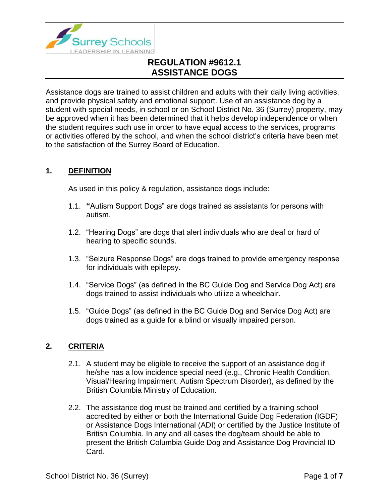

Assistance dogs are trained to assist children and adults with their daily living activities, and provide physical safety and emotional support. Use of an assistance dog by a student with special needs, in school or on School District No. 36 (Surrey) property, may be approved when it has been determined that it helps develop independence or when the student requires such use in order to have equal access to the services, programs or activities offered by the school, and when the school district's criteria have been met to the satisfaction of the Surrey Board of Education.

## **1. DEFINITION**

As used in this policy & regulation, assistance dogs include:

- 1.1. **"**Autism Support Dogs" are dogs trained as assistants for persons with autism.
- 1.2. "Hearing Dogs" are dogs that alert individuals who are deaf or hard of hearing to specific sounds.
- 1.3. "Seizure Response Dogs" are dogs trained to provide emergency response for individuals with epilepsy.
- 1.4. "Service Dogs" (as defined in the BC Guide Dog and Service Dog Act) are dogs trained to assist individuals who utilize a wheelchair.
- 1.5. "Guide Dogs" (as defined in the BC Guide Dog and Service Dog Act) are dogs trained as a guide for a blind or visually impaired person.

### **2. CRITERIA**

- 2.1. A student may be eligible to receive the support of an assistance dog if he/she has a low incidence special need (e.g., Chronic Health Condition, Visual/Hearing Impairment, Autism Spectrum Disorder), as defined by the British Columbia Ministry of Education.
- 2.2. The assistance dog must be trained and certified by a training school accredited by either or both the International Guide Dog Federation (IGDF) or Assistance Dogs International (ADI) or certified by the Justice Institute of British Columbia. In any and all cases the dog/team should be able to present the British Columbia Guide Dog and Assistance Dog Provincial ID Card.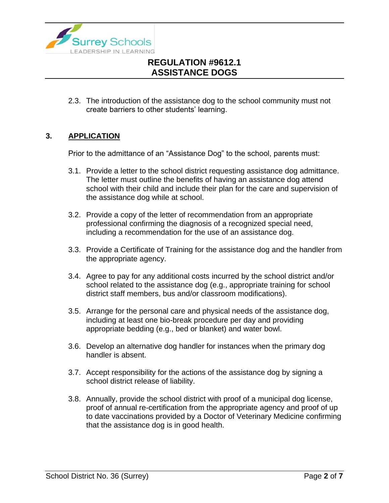

2.3. The introduction of the assistance dog to the school community must not create barriers to other students' learning.

## **3. APPLICATION**

Prior to the admittance of an "Assistance Dog" to the school, parents must:

- 3.1. Provide a letter to the school district requesting assistance dog admittance. The letter must outline the benefits of having an assistance dog attend school with their child and include their plan for the care and supervision of the assistance dog while at school.
- 3.2. Provide a copy of the letter of recommendation from an appropriate professional confirming the diagnosis of a recognized special need, including a recommendation for the use of an assistance dog.
- 3.3. Provide a Certificate of Training for the assistance dog and the handler from the appropriate agency.
- 3.4. Agree to pay for any additional costs incurred by the school district and/or school related to the assistance dog (e.g., appropriate training for school district staff members, bus and/or classroom modifications).
- 3.5. Arrange for the personal care and physical needs of the assistance dog, including at least one bio-break procedure per day and providing appropriate bedding (e.g., bed or blanket) and water bowl.
- 3.6. Develop an alternative dog handler for instances when the primary dog handler is absent.
- 3.7. Accept responsibility for the actions of the assistance dog by signing a school district release of liability.
- 3.8. Annually, provide the school district with proof of a municipal dog license, proof of annual re-certification from the appropriate agency and proof of up to date vaccinations provided by a Doctor of Veterinary Medicine confirming that the assistance dog is in good health.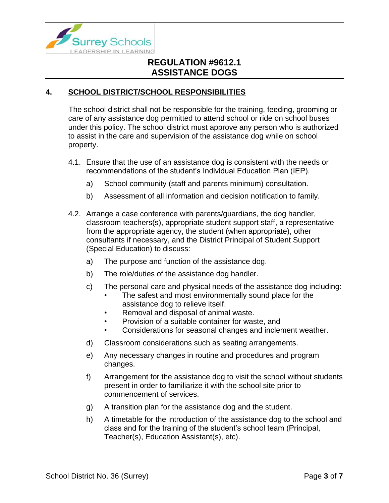

## **4. SCHOOL DISTRICT/SCHOOL RESPONSIBILITIES**

The school district shall not be responsible for the training, feeding, grooming or care of any assistance dog permitted to attend school or ride on school buses under this policy. The school district must approve any person who is authorized to assist in the care and supervision of the assistance dog while on school property.

- 4.1. Ensure that the use of an assistance dog is consistent with the needs or recommendations of the student's Individual Education Plan (IEP).
	- a) School community (staff and parents minimum) consultation.
	- b) Assessment of all information and decision notification to family.
- 4.2. Arrange a case conference with parents/guardians, the dog handler, classroom teachers(s), appropriate student support staff, a representative from the appropriate agency, the student (when appropriate), other consultants if necessary, and the District Principal of Student Support (Special Education) to discuss:
	- a) The purpose and function of the assistance dog.
	- b) The role/duties of the assistance dog handler.
	- c) The personal care and physical needs of the assistance dog including:
		- The safest and most environmentally sound place for the assistance dog to relieve itself.
		- Removal and disposal of animal waste.
		- Provision of a suitable container for waste, and
		- Considerations for seasonal changes and inclement weather.
	- d) Classroom considerations such as seating arrangements.
	- e) Any necessary changes in routine and procedures and program changes.
	- f) Arrangement for the assistance dog to visit the school without students present in order to familiarize it with the school site prior to commencement of services.
	- g) A transition plan for the assistance dog and the student.
	- h) A timetable for the introduction of the assistance dog to the school and class and for the training of the student's school team (Principal, Teacher(s), Education Assistant(s), etc).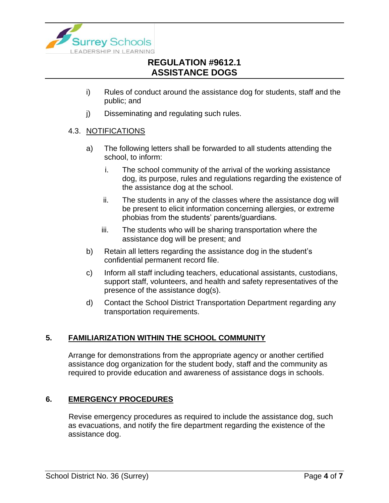

- i) Rules of conduct around the assistance dog for students, staff and the public; and
- j) Disseminating and regulating such rules.

### 4.3. NOTIFICATIONS

- a) The following letters shall be forwarded to all students attending the school, to inform:
	- i. The school community of the arrival of the working assistance dog, its purpose, rules and regulations regarding the existence of the assistance dog at the school.
	- ii. The students in any of the classes where the assistance dog will be present to elicit information concerning allergies, or extreme phobias from the students' parents/guardians.
	- iii. The students who will be sharing transportation where the assistance dog will be present; and
- b) Retain all letters regarding the assistance dog in the student's confidential permanent record file.
- c) Inform all staff including teachers, educational assistants, custodians, support staff, volunteers, and health and safety representatives of the presence of the assistance dog(s).
- d) Contact the School District Transportation Department regarding any transportation requirements.

## **5. FAMILIARIZATION WITHIN THE SCHOOL COMMUNITY**

Arrange for demonstrations from the appropriate agency or another certified assistance dog organization for the student body, staff and the community as required to provide education and awareness of assistance dogs in schools.

## **6. EMERGENCY PROCEDURES**

Revise emergency procedures as required to include the assistance dog, such as evacuations, and notify the fire department regarding the existence of the assistance dog.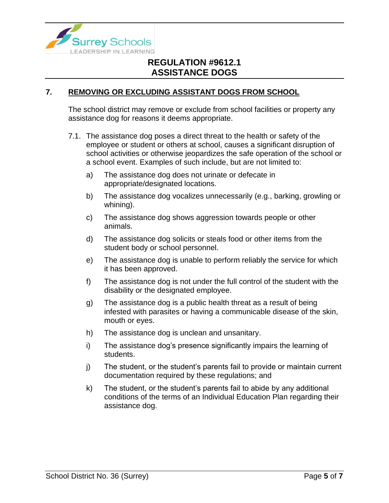

### **7. REMOVING OR EXCLUDING ASSISTANT DOGS FROM SCHOOL**

The school district may remove or exclude from school facilities or property any assistance dog for reasons it deems appropriate.

- 7.1. The assistance dog poses a direct threat to the health or safety of the employee or student or others at school, causes a significant disruption of school activities or otherwise jeopardizes the safe operation of the school or a school event. Examples of such include, but are not limited to:
	- a) The assistance dog does not urinate or defecate in appropriate/designated locations.
	- b) The assistance dog vocalizes unnecessarily (e.g., barking, growling or whining).
	- c) The assistance dog shows aggression towards people or other animals.
	- d) The assistance dog solicits or steals food or other items from the student body or school personnel.
	- e) The assistance dog is unable to perform reliably the service for which it has been approved.
	- f) The assistance dog is not under the full control of the student with the disability or the designated employee.
	- g) The assistance dog is a public health threat as a result of being infested with parasites or having a communicable disease of the skin, mouth or eyes.
	- h) The assistance dog is unclean and unsanitary.
	- i) The assistance dog's presence significantly impairs the learning of students.
	- j) The student, or the student's parents fail to provide or maintain current documentation required by these regulations; and
	- k) The student, or the student's parents fail to abide by any additional conditions of the terms of an Individual Education Plan regarding their assistance dog.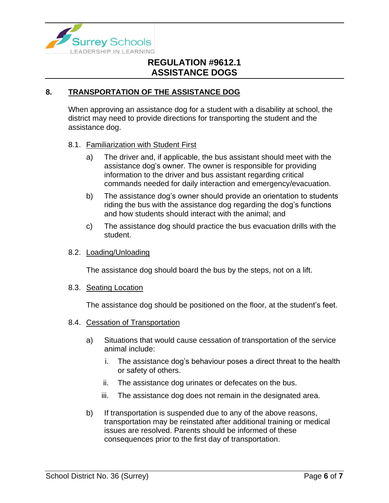

## **8. TRANSPORTATION OF THE ASSISTANCE DOG**

When approving an assistance dog for a student with a disability at school, the district may need to provide directions for transporting the student and the assistance dog.

#### 8.1. Familiarization with Student First

- a) The driver and, if applicable, the bus assistant should meet with the assistance dog's owner. The owner is responsible for providing information to the driver and bus assistant regarding critical commands needed for daily interaction and emergency/evacuation.
- b) The assistance dog's owner should provide an orientation to students riding the bus with the assistance dog regarding the dog's functions and how students should interact with the animal; and
- c) The assistance dog should practice the bus evacuation drills with the student.

#### 8.2. Loading/Unloading

The assistance dog should board the bus by the steps, not on a lift.

#### 8.3. Seating Location

The assistance dog should be positioned on the floor, at the student's feet.

#### 8.4. Cessation of Transportation

- a) Situations that would cause cessation of transportation of the service animal include:
	- i. The assistance dog's behaviour poses a direct threat to the health or safety of others.
	- ii. The assistance dog urinates or defecates on the bus.
	- iii. The assistance dog does not remain in the designated area.
- b) If transportation is suspended due to any of the above reasons, transportation may be reinstated after additional training or medical issues are resolved. Parents should be informed of these consequences prior to the first day of transportation.